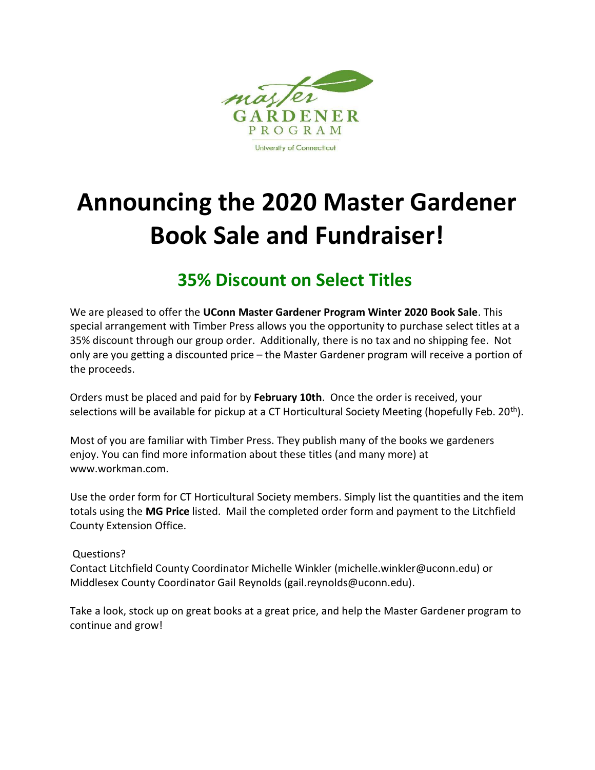

## **Announcing the 2020 Master Gardener Book Sale and Fundraiser!**

## **35% Discount on Select Titles**

We are pleased to offer the UConn Master Gardener Program Winter 2020 Book Sale. This special arrangement with Timber Press allows you the opportunity to purchase select titles at a 35% discount through our group order. Additionally, there is no tax and no shipping fee. Not only are you getting a discounted price – the Master Gardener program will receive a portion of the proceeds.

Orders must be placed and paid for by **February 10th**. Once the order is received, your selections will be available for pickup at a CT Horticultural Society Meeting (hopefully Feb. 20<sup>th</sup>).

Most of you are familiar with Timber Press. They publish many of the books we gardeners enjoy. You can find more information about these titles (and many more) at www.workman.com.

Use the order form for CT Horticultural Society members. Simply list the quantities and the item totals using the MG Price listed. Mail the completed order form and payment to the Litchfield County Extension Office.

## Questions?

Contact Litchfield County Coordinator Michelle Winkler (michelle.winkler@uconn.edu) or Middlesex County Coordinator Gail Reynolds (gail.reynolds@uconn.edu).

Take a look, stock up on great books at a great price, and help the Master Gardener program to continue and grow!